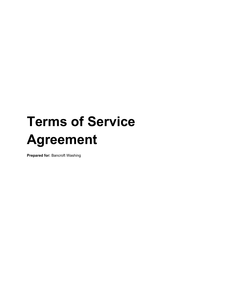# **Terms of Service Agreement**

**Prepared for:** Bancroft Washing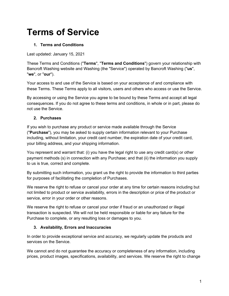# **Terms of Service**

# **1. Terms and Conditions**

Last updated: January 15, 2021

These Terms and Conditions ("**Terms**", "**Terms and Conditions**") govern your relationship with Bancroft Washing website and Washing (the "Service") operated by Bancroft Washing ("**us**", "**we**", or "**our**").

Your access to and use of the Service is based on your acceptance of and compliance with these Terms. These Terms apply to all visitors, users and others who access or use the Service.

By accessing or using the Service you agree to be bound by these Terms and accept all legal consequences. If you do not agree to these terms and conditions, in whole or in part, please do not use the Service.

#### **2. Purchases**

If you wish to purchase any product or service made available through the Service ("**Purchase**"), you may be asked to supply certain information relevant to your Purchase including, without limitation, your credit card number, the expiration date of your credit card, your billing address, and your shipping information.

You represent and warrant that: (i) you have the legal right to use any credit card(s) or other payment methods (s) in connection with any Purchase; and that (ii) the information you supply to us is true, correct and complete.

By submitting such information, you grant us the right to provide the information to third parties for purposes of facilitating the completion of Purchases.

We reserve the right to refuse or cancel your order at any time for certain reasons including but not limited to product or service availability, errors in the description or price of the product or service, error in your order or other reasons.

We reserve the right to refuse or cancel your order if fraud or an unauthorized or illegal transaction is suspected. We will not be held responsible or liable for any failure for the Purchase to complete, or any resulting loss or damages to you.

#### **3. Availability, Errors and Inaccuracies**

In order to provide exceptional service and accuracy, we regularly update the products and services on the Service.

We cannot and do not guarantee the accuracy or completeness of any information, including prices, product images, specifications, availability, and services. We reserve the right to change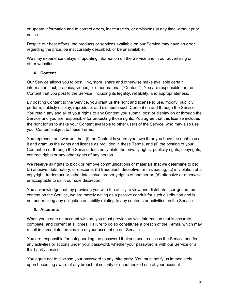or update information and to correct errors, inaccuracies, or omissions at any time without prior notice.

Despite our best efforts, the products or services available on our Service may have an error regarding the price, be inaccurately described, or be unavailable.

We may experience delays in updating information on the Service and in our advertising on other websites.

# **4. Content**

Our Service allows you to post, link, store, share and otherwise make available certain information, text, graphics, videos, or other material ("Content"). You are responsible for the Content that you post to the Service, including its legality, reliability, and appropriateness.

By posting Content to the Service, you grant us the right and license to use, modify, publicly perform, publicly display, reproduce, and distribute such Content on and through the Service. You retain any and all of your rights to any Content you submit, post or display on or through the Service and you are responsible for protecting those rights. You agree that this license includes the right for us to make your Content available to other users of the Service, who may also use your Content subject to these Terms.

You represent and warrant that: (i) the Content is yours (you own it) or you have the right to use it and grant us the rights and license as provided in these Terms, and (ii) the posting of your Content on or through the Service does not violate the privacy rights, publicity rights, copyrights, contract rights or any other rights of any person.

We reserve all rights to block or remove communications or materials that we determine to be: (a) abusive, defamatory, or obscene; (b) fraudulent, deceptive, or misleading; (c) in violation of a copyright, trademark or, other intellectual property rights of another or; (d) offensive or otherwise unacceptable to us in our sole discretion.

You acknowledge that, by providing you with the ability to view and distribute user-generated content on the Service, we are merely acting as a passive conduit for such distribution and is not undertaking any obligation or liability relating to any contents or activities on the Service.

# **5. Accounts**

When you create an account with us, you must provide us with information that is accurate, complete, and current at all times. Failure to do so constitutes a breach of the Terms, which may result in immediate termination of your account on our Service.

You are responsible for safeguarding the password that you use to access the Service and for any activities or actions under your password, whether your password is with our Service or a third-party service.

You agree not to disclose your password to any third party. You must notify us immediately upon becoming aware of any breach of security or unauthorized use of your account.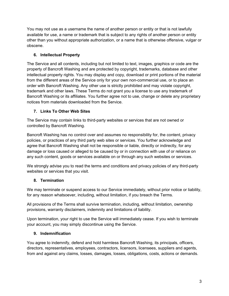You may not use as a username the name of another person or entity or that is not lawfully available for use, a name or trademark that is subject to any rights of another person or entity other than you without appropriate authorization, or a name that is otherwise offensive, vulgar or obscene.

# **6. Intellectual Property**

The Service and all contents, including but not limited to text, images, graphics or code are the property of Bancroft Washing and are protected by copyright, trademarks, database and other intellectual property rights. You may display and copy, download or print portions of the material from the different areas of the Service only for your own non-commercial use, or to place an order with Bancroft Washing. Any other use is strictly prohibited and may violate copyright, trademark and other laws. These Terms do not grant you a license to use any trademark of Bancroft Washing or its affiliates. You further agree not to use, change or delete any proprietary notices from materials downloaded from the Service.

# **7. Links To Other Web Sites**

The Service may contain links to third-party websites or services that are not owned or controlled by Bancroft Washing.

Bancroft Washing has no control over and assumes no responsibility for, the content, privacy policies, or practices of any third party web sites or services. You further acknowledge and agree that Bancroft Washing shall not be responsible or liable, directly or indirectly, for any damage or loss caused or alleged to be caused by or in connection with use of or reliance on any such content, goods or services available on or through any such websites or services.

We strongly advise you to read the terms and conditions and privacy policies of any third-party websites or services that you visit.

# **8. Termination**

We may terminate or suspend access to our Service immediately, without prior notice or liability, for any reason whatsoever, including, without limitation, if you breach the Terms.

All provisions of the Terms shall survive termination, including, without limitation, ownership provisions, warranty disclaimers, indemnity and limitations of liability.

Upon termination, your right to use the Service will immediately cease. If you wish to terminate your account, you may simply discontinue using the Service.

#### **9. Indemnification**

You agree to indemnify, defend and hold harmless Bancroft Washing, its principals, officers, directors, representatives, employees, contractors, licensors, licensees, suppliers and agents, from and against any claims, losses, damages, losses, obligations, costs, actions or demands.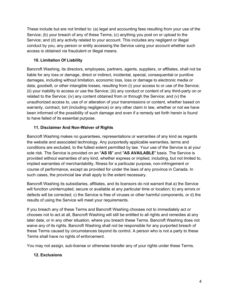These include but are not limited to: (a) legal and accounting fees resulting from your use of the Service; (b) your breach of any of these Terms; (c) anything you post on or upload to the Service; and (d) any activity related to your account. This includes any negligent or illegal conduct by you, any person or entity accessing the Service using your account whether such access is obtained via fraudulent or illegal means.

#### **10. Limitation Of Liability**

Bancroft Washing, its directors, employees, partners, agents, suppliers, or affiliates, shall not be liable for any loss or damage, direct or indirect, incidental, special, consequential or punitive damages, including without limitation, economic loss, loss or damage to electronic media or data, goodwill, or other intangible losses, resulting from (i) your access to or use of the Service; (ii) your inability to access or use the Service; (iii) any conduct or content of any third-party on or related to the Service; (iv) any content obtained from or through the Service; and (v) the unauthorized access to, use of or alteration of your transmissions or content, whether based on warranty, contract, tort (including negligence) or any other claim in law, whether or not we have been informed of the possibility of such damage and even if a remedy set forth herein is found to have failed of its essential purpose.

# **11. Disclaimer And Non-Waiver of Rights**

Bancroft Washing makes no guarantees, representations or warranties of any kind as regards the website and associated technology. Any purportedly applicable warranties, terms and conditions are excluded, to the fullest extent permitted by law. Your use of the Service is at your sole risk. The Service is provided on an "**AS IS**" and "**AS AVAILABLE**" basis. The Service is provided without warranties of any kind, whether express or implied, including, but not limited to, implied warranties of merchantability, fitness for a particular purpose, non-infringement or course of performance, except as provided for under the laws of any province in Canada. In such cases, the provincial law shall apply to the extent necessary.

Bancroft Washing its subsidiaries, affiliates, and its licensors do not warrant that a) the Service will function uninterrupted, secure or available at any particular time or location; b) any errors or defects will be corrected; c) the Service is free of viruses or other harmful components, or d) the results of using the Service will meet your requirements.

If you breach any of these Terms and Bancroft Washing chooses not to immediately act or chooses not to act at all, Bancroft Washing will still be entitled to all rights and remedies at any later date, or in any other situation, where you breach these Terms. Bancroft Washing does not waive any of its rights. Bancroft Washing shall not be responsible for any purported breach of these Terms caused by circumstances beyond its control. A person who is not a party to these Terms shall have no rights of enforcement.

You may not assign, sub-license or otherwise transfer any of your rights under these Terms.

# **12. Exclusions**